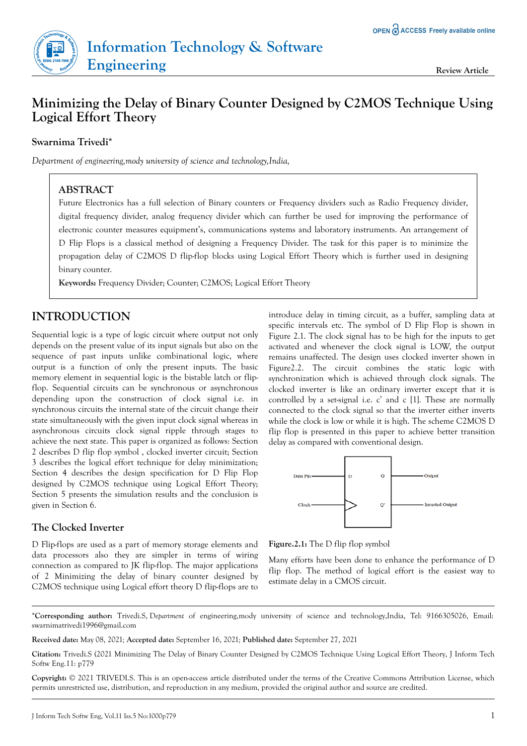

# **Minimizing the Delay of Binary Counter Designed by C2MOS Technique Using Logical Effort Theory**

## **Swarnima Trivedi\***

*Department of engineering,mody university of science and technology,India,*

### **ABSTRACT**

Future Electronics has a full selection of Binary counters or Frequency dividers such as Radio Frequency divider, digital frequency divider, analog frequency divider which can further be used for improving the performance of electronic counter measures equipment's, communications systems and laboratory instruments. An arrangement of D Flip Flops is a classical method of designing a Frequency Divider. The task for this paper is to minimize the propagation delay of C2MOS D flip-flop blocks using Logical Effort Theory which is further used in designing binary counter.

**Keywords:** Frequency Divider; Counter; C2MOS; Logical Effort Theory

## **INTRODUCTION**

Sequential logic is a type of logic circuit where output not only depends on the present value of its input signals but also on the sequence of past inputs unlike combinational logic, where output is a function of only the present inputs. The basic memory element in sequential logic is the bistable latch or flipflop. Sequential circuits can be synchronous or asynchronous depending upon the construction of clock signal i.e. in synchronous circuits the internal state of the circuit change their state simultaneously with the given input clock signal whereas in asynchronous circuits clock signal ripple through stages to achieve the next state. This paper is organized as follows: Section 2 describes D flip flop symbol , clocked inverter circuit; Section 3 describes the logical effort technique for delay minimization; Section 4 describes the design specification for D Flip Flop designed by C2MOS technique using Logical Effort Theory; Section 5 presents the simulation results and the conclusion is given in Section 6.

### **The Clocked Inverter**

D Flip-flops are used as a part of memory storage elements and data processors also they are simpler in terms of wiring connection as compared to JK flip-flop. The major applications of 2 Minimizing the delay of binary counter designed by C2MOS technique using Logical effort theory D flip-flops are to

introduce delay in timing circuit, as a buffer, sampling data at specific intervals etc. The symbol of D Flip Flop is shown in Figure 2.1. The clock signal has to be high for the inputs to get activated and whenever the clock signal is LOW, the output remains unaffected. The design uses clocked inverter shown in Figure2.2. The circuit combines the static logic with synchronization which is achieved through clock signals. The clocked inverter is like an ordinary inverter except that it is controlled by a set-signal i.e. c' and c [1]. These are normally connected to the clock signal so that the inverter either inverts while the clock is low or while it is high. The scheme C2MOS D flip flop is presented in this paper to achieve better transition delay as compared with conventional design.



**Figure.2.1:** The D flip flop symbol

Many efforts have been done to enhance the performance of D flip flop. The method of logical effort is the easiest way to estimate delay in a CMOS circuit.

\***Corresponding author:** Trivedi.S, D*epartment* of engineering,mody university of science and technology,India, Tel: 9166305026, Email: swarnimatrivedi1996@gmail.com

**Received date:** May 08, 2021*;* **Accepted date:** September 16, 2021*;* **Published date:** September 27, 2021

**Copyright:** © 2021 TRIVEDI.S. This is an open-access article distributed under the terms of the Creative Commons Attribution License, which permits unrestricted use, distribution, and reproduction in any medium, provided the original author and source are credited.

**Citation:** Trivedi.S (2021 Minimizing The Delay of Binary Counter Designed by C2MOS Technique Using Logical Effort Theory, J Inform Tech Softw Eng.11: p779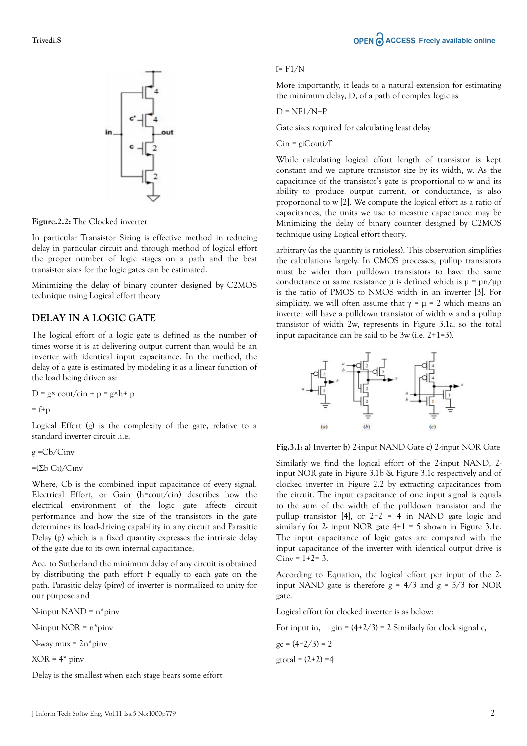

**Figure.2.2:** The Clocked inverter

In particular Transistor Sizing is effective method in reducing delay in particular circuit and through method of logical effort the proper number of logic stages on a path and the best transistor sizes for the logic gates can be estimated.

Minimizing the delay of binary counter designed by C2MOS technique using Logical effort theory

### **DELAY IN A LOGIC GATE**

The logical effort of a logic gate is defined as the number of times worse it is at delivering output current than would be an inverter with identical input capacitance. In the method, the delay of a gate is estimated by modeling it as a linear function of the load being driven as:

 $D = g \times \frac{\text{out}}{\text{in}} + p = g \times h + p$ 

 $= f + p$ 

Logical Effort (g) is the complexity of the gate, relative to a standard inverter circuit .i.e.

 $g = Ch/C$ inv

 $=(\Sigma b)$  Ci)/Cinv

Where, Cb is the combined input capacitance of every signal. Electrical Effort, or Gain (h=cout/cin) describes how the electrical environment of the logic gate affects circuit performance and how the size of the transistors in the gate determines its load-driving capability in any circuit and Parasitic Delay (p) which is a fixed quantity expresses the intrinsic delay of the gate due to its own internal capacitance.

Acc. to Sutherland the minimum delay of any circuit is obtained by distributing the path effort F equally to each gate on the path. Parasitic delay (pinv) of inverter is normalized to unity for our purpose and

N-input NAND = n\*pinv

N-input NOR = n\*pinv

N-way mux = 2n\*pinv

 $XOR = 4*$  pinv

Delay is the smallest when each stage bears some effort

## OPEN C ACCESS Freely available online

#### $F = F1/N$

More importantly, it leads to a natural extension for estimating the minimum delay, D, of a path of complex logic as

$$
D = NF1/N + P
$$

Gate sizes required for calculating least delay

$$
Cin = giCouti/\mathbb{I}
$$

While calculating logical effort length of transistor is kept constant and we capture transistor size by its width, w. As the capacitance of the transistor's gate is proportional to w and its ability to produce output current, or conductance, is also proportional to w [2]. We compute the logical effort as a ratio of capacitances, the units we use to measure capacitance may be Minimizing the delay of binary counter designed by C2MOS technique using Logical effort theory.

arbitrary (as the quantity is ratioless). This observation simplifies the calculations largely. In CMOS processes, pullup transistors must be wider than pulldown transistors to have the same conductance or same resistance  $\mu$  is defined which is  $\mu = \mu n / \mu p$ is the ratio of PMOS to NMOS width in an inverter [3]. For simplicity, we will often assume that  $\gamma = \mu = 2$  which means an inverter will have a pulldown transistor of width w and a pullup transistor of width 2w, represents in Figure 3.1a, so the total input capacitance can be said to be 3w (i.e. 2+1=3).



**Fig.3.1: a)** Inverter **b)** 2-input NAND Gate **c)** 2-input NOR Gate

Similarly we find the logical effort of the 2-input NAND, 2 input NOR gate in Figure 3.1b & Figure 3.1c respectively and of clocked inverter in Figure 2.2 by extracting capacitances from the circuit. The input capacitance of one input signal is equals to the sum of the width of the pulldown transistor and the pullup transistor [4], or  $2+2 = 4$  in NAND gate logic and similarly for 2- input NOR gate  $4+1 = 5$  shown in Figure 3.1c. The input capacitance of logic gates are compared with the input capacitance of the inverter with identical output drive is  $Ciny = 1 + 2 = 3.$ 

According to Equation, the logical effort per input of the 2 input NAND gate is therefore  $g = 4/3$  and  $g = 5/3$  for NOR gate.

Logical effort for clocked inverter is as below:

For input in, gin =  $(4+2/3)$  = 2 Similarly for clock signal c,

$$
gc = (4+2/3) = 2
$$
  
gtotal = (2+2) = 4